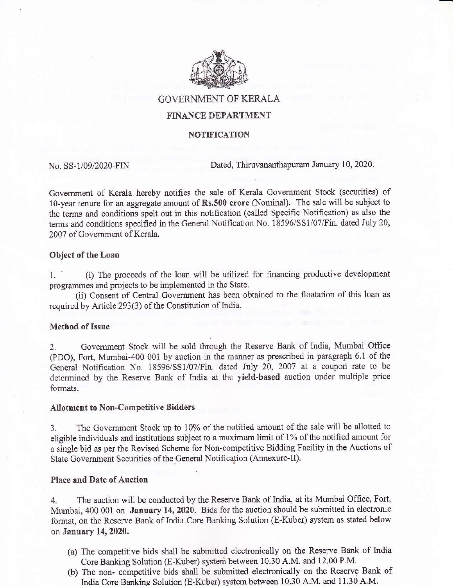

**GOVERNMENT OF KERALA** 

# FINANCE DEPARTMENT

## NOTIFICATION

No. SS-1/09/2020-FIN Dated, Thiruvananthapuram January 10, 2020.

Goverrment of Kerala hereby notifies the sale of Kerala Govemment Stock (securities) of 10-year tenure for an aggregate amount of Rs.500 crore (Nominal). The sale will be subject to the terms and conditions spelt out in this notification (called Specific Notifiaation) as also the terms and conditions specified in the General Notification No. 18596/SS1/07/Fin. dated July 20, 2007 of Govemment of Kerala.

### Object of the Loan

1. (i) The proceeds of the loan will be utilized for financing productive development programmes and projects to be implemented in the State.

(ii) Consent of Central Government has been obtained to the floatation of this loan as required by Article 293(3) of the Constitution of lndia.

## Method of Issue

2. Government Stock will be sold through the Reserve Bank of India, Mumbai Office (PDO), Fort, Mumbai-400 001 by auction in the manner as prescribed in paragraph 6.1 of the General Notification No. 18596/SS1/07/Fin. dated July 20, 2007 at a coupon rate to be determined by the Reserve Bank of India at the yield-based auction under multiple price formats.

### Allotment to Non-Competitive Bidders

3. The Government Stock up to 10% of the notified amount of the sale will be allotted to eligible individuals and institutions subject to a maximum limit of 1% of the notified amount for <sup>a</sup>siogle bid as per the Revised Scheme for Non-competitive Bidding Facility in the Auctions of State Government Securities of the General Notification (Annexure-II).

#### Place and Date of Auction

4. The auction will be conducted by the Reserve Bank of India, at its Mumbai Office, Fort, Mumbai, 400 001 on January 14, 2020. Bids for the auction should be submitted in electronic fonnat, on the Reserve Bank of India Core Banking Solution (E-Kuber) system as stated below on January 14,2020.

- (a) The competitive bids shall be submitted electronically on the Reserve Bank of India Core Banking Solution (E-Kuber) system between 10.30 A.M. and 12.00 P.M.
- (b) The non- competitive bids shall be submitted electronically on the Reserve Bank of India Core Banking Solution (E-Kuber) system between 10.30 A.M. and 11.30 A.M